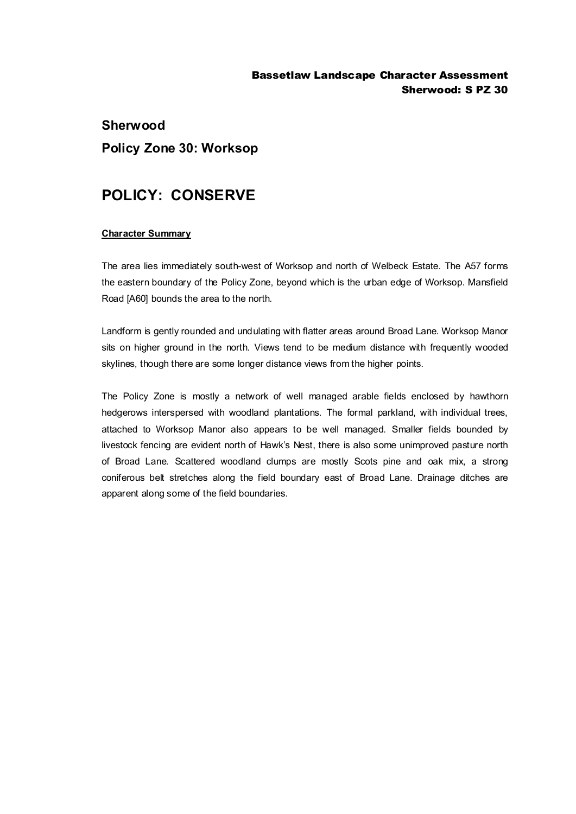### Bassetlaw Landscape Character Assessment Sherwood: S PZ 30

# **Sherwood Policy Zone 30: Worksop**

# **POLICY: CONSERVE**

#### **Character Summary**

The area lies immediately south-west of Worksop and north of Welbeck Estate. The A57 forms the eastern boundary of the Policy Zone, beyond which is the urban edge of Worksop. Mansfield Road [A60] bounds the area to the north.

Landform is gently rounded and undulating with flatter areas around Broad Lane. Worksop Manor sits on higher ground in the north. Views tend to be medium distance with frequently wooded skylines, though there are some longer distance views from the higher points.

The Policy Zone is mostly a network of well managed arable fields enclosed by hawthorn hedgerows interspersed with woodland plantations. The formal parkland, with individual trees, attached to Worksop Manor also appears to be well managed. Smaller fields bounded by livestock fencing are evident north of Hawk's Nest, there is also some unimproved pasture north of Broad Lane. Scattered woodland clumps are mostly Scots pine and oak mix, a strong coniferous belt stretches along the field boundary east of Broad Lane. Drainage ditches are apparent along some of the field boundaries.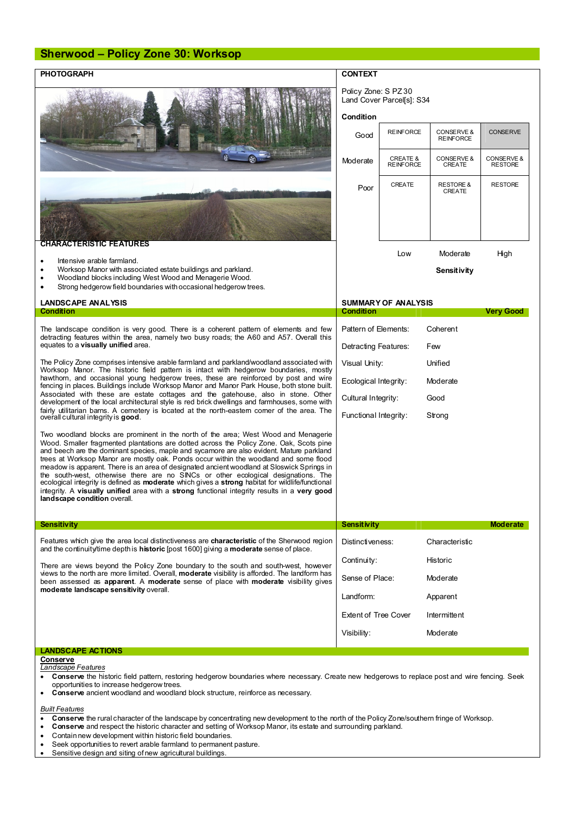## **Sherwood – Policy Zone 30: Worksop**

| <b>PHOTOGRAPH</b>                                                                                                                                                                                                                                                                                                                                                                                                                                                                                                                                                                                                                                                                                                                                                                                         | <b>CONTEXT</b>                                    |                                         |                                        |                              |
|-----------------------------------------------------------------------------------------------------------------------------------------------------------------------------------------------------------------------------------------------------------------------------------------------------------------------------------------------------------------------------------------------------------------------------------------------------------------------------------------------------------------------------------------------------------------------------------------------------------------------------------------------------------------------------------------------------------------------------------------------------------------------------------------------------------|---------------------------------------------------|-----------------------------------------|----------------------------------------|------------------------------|
|                                                                                                                                                                                                                                                                                                                                                                                                                                                                                                                                                                                                                                                                                                                                                                                                           | Policy Zone: S PZ 30<br>Land Cover Parcel[s]: S34 |                                         |                                        |                              |
|                                                                                                                                                                                                                                                                                                                                                                                                                                                                                                                                                                                                                                                                                                                                                                                                           | Condition                                         |                                         |                                        |                              |
|                                                                                                                                                                                                                                                                                                                                                                                                                                                                                                                                                                                                                                                                                                                                                                                                           | Good                                              | <b>REINFORCE</b>                        | CONSERVE &<br><b>REINFORCE</b>         | <b>CONSERVE</b>              |
|                                                                                                                                                                                                                                                                                                                                                                                                                                                                                                                                                                                                                                                                                                                                                                                                           | Moderate                                          | <b>CREATE &amp;</b><br><b>REINFORCE</b> | <b>CONSERVE &amp;</b><br><b>CREATE</b> | CONSERVE &<br><b>RESTORE</b> |
|                                                                                                                                                                                                                                                                                                                                                                                                                                                                                                                                                                                                                                                                                                                                                                                                           | Poor                                              | <b>CREATE</b>                           | <b>RESTORE &amp;</b><br>CREATE         | <b>RESTORE</b>               |
| CHARACTERISTIC FEATURES                                                                                                                                                                                                                                                                                                                                                                                                                                                                                                                                                                                                                                                                                                                                                                                   |                                                   |                                         |                                        |                              |
| Intensive arable farmland.<br>$\bullet$                                                                                                                                                                                                                                                                                                                                                                                                                                                                                                                                                                                                                                                                                                                                                                   |                                                   | Low                                     | Moderate                               | High                         |
| Worksop Manor with associated estate buildings and parkland.<br>Woodland blocks including West Wood and Menagerie Wood.<br>Strong hedgerow field boundaries with occasional hedgerow trees.                                                                                                                                                                                                                                                                                                                                                                                                                                                                                                                                                                                                               |                                                   |                                         | Sensitivity                            |                              |
| <b>LANDSCAPE ANALYSIS</b>                                                                                                                                                                                                                                                                                                                                                                                                                                                                                                                                                                                                                                                                                                                                                                                 | <b>SUMMARY OF ANALYSIS</b>                        |                                         |                                        |                              |
| Condition<br>The landscape condition is very good. There is a coherent pattern of elements and few<br>detracting features within the area, namely two busy roads; the A60 and A57. Overall this<br>equates to a visually unified area.                                                                                                                                                                                                                                                                                                                                                                                                                                                                                                                                                                    | <b>Condition</b>                                  |                                         |                                        | <b>Very Good</b>             |
|                                                                                                                                                                                                                                                                                                                                                                                                                                                                                                                                                                                                                                                                                                                                                                                                           | Pattern of Elements:<br>Detracting Features:      |                                         | Coherent<br>Few                        |                              |
| The Policy Zone comprises intensive arable farmland and parkland/woodland associated with<br>Worksop Manor. The historic field pattern is intact with hedgerow boundaries, mostly<br>hawthorn, and occasional young hedgerow trees, these are reinforced by post and wire<br>fencing in places. Buildings include Worksop Manor and Manor Park House, both stone built.<br>Associated with these are estate cottages and the gatehouse, also in stone. Other<br>development of the local architectural style is red brick dwellings and farmhouses, some with<br>fairly utilitarian barns. A cemetery is located at the north-eastem comer of the area. The<br>overall cultural integrity is good.                                                                                                        | Visual Unity:                                     |                                         | Unified                                |                              |
|                                                                                                                                                                                                                                                                                                                                                                                                                                                                                                                                                                                                                                                                                                                                                                                                           | Ecological Integrity:                             |                                         | Moderate                               |                              |
|                                                                                                                                                                                                                                                                                                                                                                                                                                                                                                                                                                                                                                                                                                                                                                                                           | Cultural Integrity:                               |                                         | Good                                   |                              |
|                                                                                                                                                                                                                                                                                                                                                                                                                                                                                                                                                                                                                                                                                                                                                                                                           | Functional Integrity:                             |                                         | Strong                                 |                              |
| Two woodland blocks are prominent in the north of the area; West Wood and Menagerie<br>Wood. Smaller fragmented plantations are dotted across the Policy Zone. Oak, Scots pine<br>and beech are the dominant species, maple and sycamore are also evident. Mature parkland<br>trees at Worksop Manor are mostly oak. Ponds occur within the woodland and some flood<br>meadow is apparent. There is an area of designated ancient woodland at Sloswick Springs in<br>the south-west, otherwise there are no SINCs or other ecological designations. The<br>ecological integrity is defined as <b>moderate</b> which gives a <b>strong</b> habitat for wildlife/functional<br>integrity. A visually unified area with a strong functional integrity results in a very good<br>landscape condition overall. |                                                   |                                         |                                        |                              |
| Sensitivity                                                                                                                                                                                                                                                                                                                                                                                                                                                                                                                                                                                                                                                                                                                                                                                               | Sensitivity                                       |                                         |                                        | <b>Moderate</b>              |
| Features which give the area local distinctiveness are characteristic of the Sherwood region<br>and the continuity time depth is <b>historic</b> [post 1600] giving a <b>moderate</b> sense of place.                                                                                                                                                                                                                                                                                                                                                                                                                                                                                                                                                                                                     | Distinctiveness:                                  |                                         | Characteristic                         |                              |
| There are views beyond the Policy Zone boundary to the south and south-west, however<br>views to the north are more limited. Overall, moderate visibility is afforded. The landform has<br>been assessed as <b>apparent</b> . A moderate sense of place with moderate visibility gives<br>moderate landscape sensitivity overall.                                                                                                                                                                                                                                                                                                                                                                                                                                                                         | Continuity:<br>Historic                           |                                         |                                        |                              |
|                                                                                                                                                                                                                                                                                                                                                                                                                                                                                                                                                                                                                                                                                                                                                                                                           | Sense of Place:<br>Moderate                       |                                         |                                        |                              |
|                                                                                                                                                                                                                                                                                                                                                                                                                                                                                                                                                                                                                                                                                                                                                                                                           | Landform:<br>Apparent                             |                                         |                                        |                              |
|                                                                                                                                                                                                                                                                                                                                                                                                                                                                                                                                                                                                                                                                                                                                                                                                           | <b>Extent of Tree Cover</b>                       |                                         | Intermittent                           |                              |
|                                                                                                                                                                                                                                                                                                                                                                                                                                                                                                                                                                                                                                                                                                                                                                                                           | Visibility:                                       |                                         | Moderate                               |                              |
| <b>LANDSCAPE ACTIONS</b>                                                                                                                                                                                                                                                                                                                                                                                                                                                                                                                                                                                                                                                                                                                                                                                  |                                                   |                                         |                                        |                              |
| Conserve<br>Landscape Features<br>Conserve the historic field pattern, restoring hedgerow boundaries where necessary. Create new hedgerows to replace post and wire fencing. Seek                                                                                                                                                                                                                                                                                                                                                                                                                                                                                                                                                                                                                         |                                                   |                                         |                                        |                              |

opportunities to increase hedgerow trees.

· **Conserve** ancient woodland and woodland block structure, reinforce as necessary.

*Built Features*

- **Conserve** the rural character of the landscape by concentrating new development to the north of the Policy Zone/southern fringe of Worksop.<br>• Conserve and respect the historic character and setting of Worksop Manor, its e
- · **Conserve** and respect the historic character and setting of Worksop Manor, its estate and surrounding parkland.
- · Contain new development within historic field boundaries.
- · Seek opportunities to revert arable farmland to permanent pasture.
- · Sensitive design and siting of new agricultural buildings.